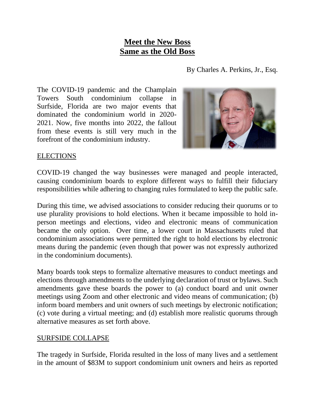## **Meet the New Boss Same as the Old Boss**

By Charles A. Perkins, Jr., Esq.

The COVID-19 pandemic and the Champlain Towers South condominium collapse in Surfside, Florida are two major events that dominated the condominium world in 2020- 2021. Now, five months into 2022, the fallout from these events is still very much in the forefront of the condominium industry.



## ELECTIONS

COVID-19 changed the way businesses were managed and people interacted, causing condominium boards to explore different ways to fulfill their fiduciary responsibilities while adhering to changing rules formulated to keep the public safe.

During this time, we advised associations to consider reducing their quorums or to use plurality provisions to hold elections. When it became impossible to hold inperson meetings and elections, video and electronic means of communication became the only option. Over time, a lower court in Massachusetts ruled that condominium associations were permitted the right to hold elections by electronic means during the pandemic (even though that power was not expressly authorized in the condominium documents).

Many boards took steps to formalize alternative measures to conduct meetings and elections through amendments to the underlying declaration of trust or bylaws. Such amendments gave these boards the power to (a) conduct board and unit owner meetings using Zoom and other electronic and video means of communication; (b) inform board members and unit owners of such meetings by electronic notification; (c) vote during a virtual meeting; and (d) establish more realistic quorums through alternative measures as set forth above.

## SURFSIDE COLLAPSE

The tragedy in Surfside, Florida resulted in the loss of many lives and a settlement in the amount of \$83M to support condominium unit owners and heirs as reported